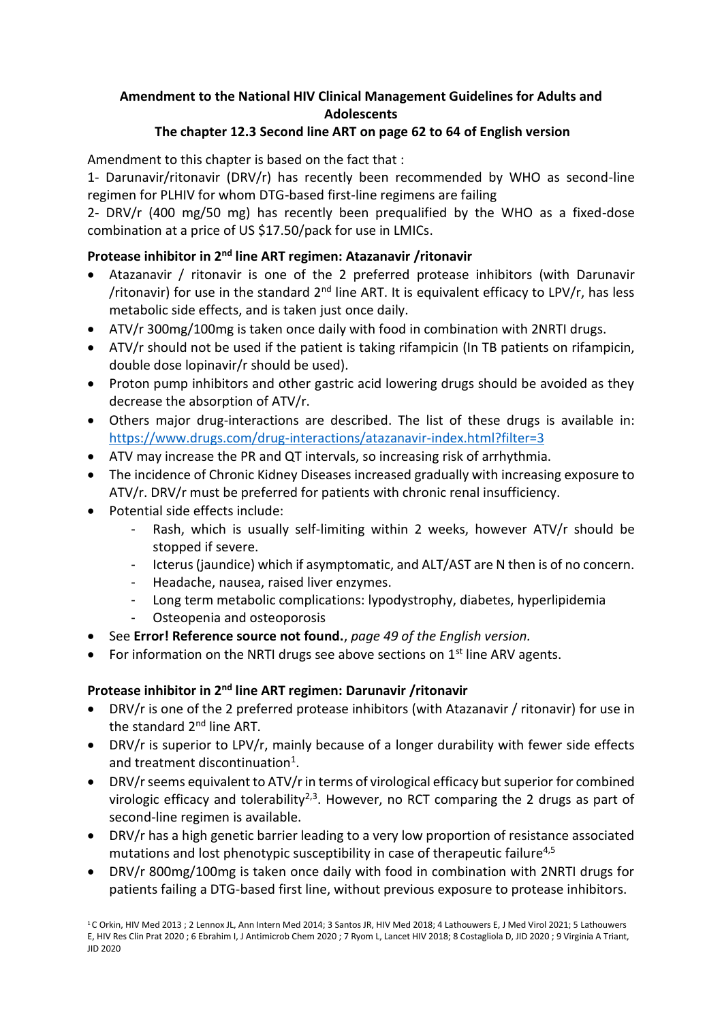# **Amendment to the National HIV Clinical Management Guidelines for Adults and Adolescents**

# **The chapter 12.3 Second line ART on page 62 to 64 of English version**

Amendment to this chapter is based on the fact that :

1- Darunavir/ritonavir (DRV/r) has recently been recommended by WHO as second-line regimen for PLHIV for whom DTG-based first-line regimens are failing

2- DRV/r (400 mg/50 mg) has recently been prequalified by the WHO as a fixed-dose combination at a price of US \$17.50/pack for use in LMICs.

# **Protease inhibitor in 2nd line ART regimen: Atazanavir /ritonavir**

- Atazanavir / ritonavir is one of the 2 preferred protease inhibitors (with Darunavir /ritonavir) for use in the standard  $2<sup>nd</sup>$  line ART. It is equivalent efficacy to LPV/r, has less metabolic side effects, and is taken just once daily.
- ATV/r 300mg/100mg is taken once daily with food in combination with 2NRTI drugs.
- ATV/r should not be used if the patient is taking rifampicin (In TB patients on rifampicin, double dose lopinavir/r should be used).
- Proton pump inhibitors and other gastric acid lowering drugs should be avoided as they decrease the absorption of ATV/r.
- Others major drug-interactions are described. The list of these drugs is available in: <https://www.drugs.com/drug-interactions/atazanavir-index.html?filter=3>
- ATV may increase the PR and QT intervals, so increasing risk of arrhythmia.
- The incidence of Chronic Kidney Diseases increased gradually with increasing exposure to ATV/r. DRV/r must be preferred for patients with chronic renal insufficiency.
- Potential side effects include:
	- Rash, which is usually self-limiting within 2 weeks, however ATV/r should be stopped if severe.
	- Icterus (jaundice) which if asymptomatic, and ALT/AST are N then is of no concern.
	- Headache, nausea, raised liver enzymes.
	- Long term metabolic complications: lypodystrophy, diabetes, hyperlipidemia
	- Osteopenia and osteoporosis
- See **Error! Reference source not found.**, *page 49 of the English version.*
- For information on the NRTI drugs see above sections on  $1<sup>st</sup>$  line ARV agents.

# **Protease inhibitor in 2nd line ART regimen: Darunavir /ritonavir**

- DRV/r is one of the 2 preferred protease inhibitors (with Atazanavir / ritonavir) for use in the standard 2<sup>nd</sup> line ART.
- DRV/r is superior to LPV/r, mainly because of a longer durability with fewer side effects and treatment discontinuation<sup>1</sup>.
- DRV/r seems equivalent to ATV/r in terms of virological efficacy but superior for combined virologic efficacy and tolerability<sup>2,3</sup>. However, no RCT comparing the 2 drugs as part of second-line regimen is available.
- DRV/r has a high genetic barrier leading to a very low proportion of resistance associated mutations and lost phenotypic susceptibility in case of therapeutic failure<sup>4,5</sup>
- DRV/r 800mg/100mg is taken once daily with food in combination with 2NRTI drugs for patients failing a DTG-based first line, without previous exposure to protease inhibitors.

<sup>1</sup>C Orkin, HIV Med 2013 ; 2 Lennox JL, Ann Intern Med 2014; 3 Santos JR, HIV Med 2018; 4 Lathouwers E, J Med Virol 2021; 5 Lathouwers E, HIV Res Clin Prat 2020 ; 6 Ebrahim I, J Antimicrob Chem 2020 ; 7 Ryom L, Lancet HIV 2018; 8 Costagliola D, JID 2020 ; 9 Virginia A Triant, JID 2020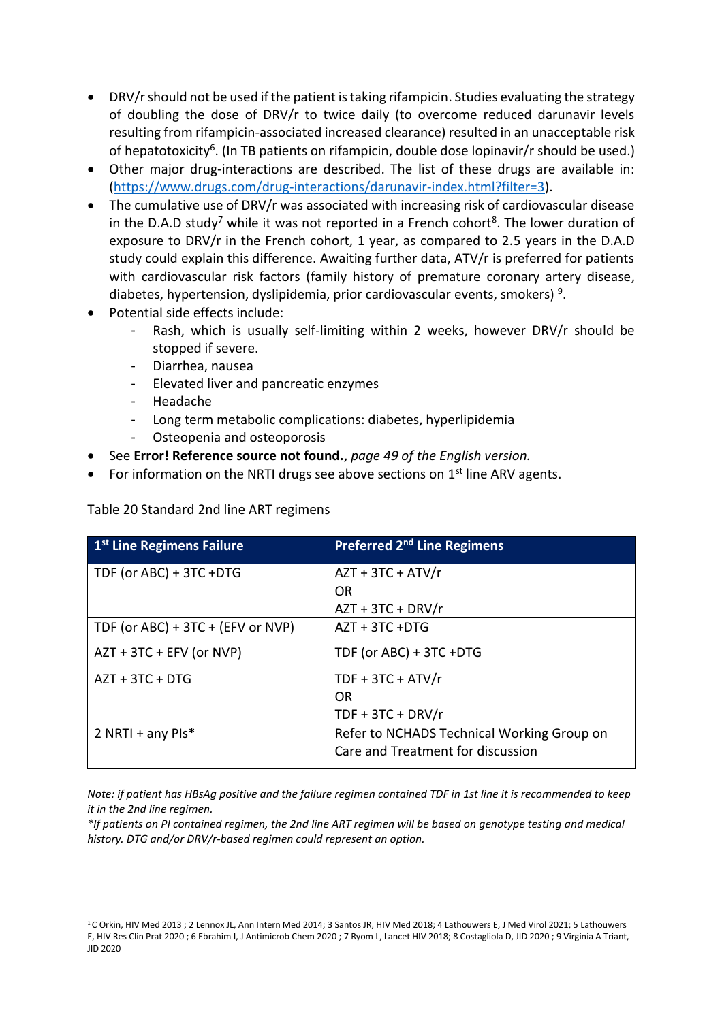- DRV/r should not be used if the patient is taking rifampicin. Studies evaluating the strategy of doubling the dose of DRV/r to twice daily (to overcome reduced darunavir levels resulting from rifampicin-associated increased clearance) resulted in an unacceptable risk of hepatotoxicity<sup>6</sup>. (In TB patients on rifampicin, double dose lopinavir/r should be used.)
- Other major drug-interactions are described. The list of these drugs are available in: [\(https://www.drugs.com/drug-interactions/darunavir-index.html?filter=3\)](https://www.drugs.com/drug-interactions/darunavir-index.html?filter=3).
- The cumulative use of DRV/r was associated with increasing risk of cardiovascular disease in the D.A.D study<sup>7</sup> while it was not reported in a French cohort<sup>8</sup>. The lower duration of exposure to DRV/r in the French cohort, 1 year, as compared to 2.5 years in the D.A.D study could explain this difference. Awaiting further data, ATV/r is preferred for patients with cardiovascular risk factors (family history of premature coronary artery disease, diabetes, hypertension, dyslipidemia, prior cardiovascular events, smokers) <sup>9</sup> .
- Potential side effects include:
	- Rash, which is usually self-limiting within 2 weeks, however DRV/r should be stopped if severe.
	- Diarrhea, nausea
	- Elevated liver and pancreatic enzymes
	- Headache
	- Long term metabolic complications: diabetes, hyperlipidemia
	- Osteopenia and osteoporosis
- See **Error! Reference source not found.**, *page 49 of the English version.*
- For information on the NRTI drugs see above sections on 1<sup>st</sup> line ARV agents.

Table 20 Standard 2nd line ART regimens

| 1 <sup>st</sup> Line Regimens Failure | Preferred 2 <sup>nd</sup> Line Regimens    |
|---------------------------------------|--------------------------------------------|
| TDF (or ABC) + 3TC +DTG               | $AZT + 3TC + ATV/r$                        |
|                                       | OR                                         |
|                                       | $AZT + 3TC + DRV/r$                        |
| TDF (or ABC) + $3TC + (EFV$ or NVP)   | $AZT + 3TC + DTG$                          |
| $AZT + 3TC + EFV$ (or NVP)            | TDF (or ABC) + 3TC +DTG                    |
| $AZT + 3TC + DTG$                     | $TDF + 3TC + ATV/r$                        |
|                                       | <b>OR</b>                                  |
|                                       | $TDF + 3TC + DRV/r$                        |
| 2 NRTI + any PIs $*$                  | Refer to NCHADS Technical Working Group on |
|                                       | Care and Treatment for discussion          |

*Note: if patient has HBsAg positive and the failure regimen contained TDF in 1st line it is recommended to keep it in the 2nd line regimen.*

*\*If patients on PI contained regimen, the 2nd line ART regimen will be based on genotype testing and medical history. DTG and/or DRV/r-based regimen could represent an option.* 

<sup>1</sup>C Orkin, HIV Med 2013 ; 2 Lennox JL, Ann Intern Med 2014; 3 Santos JR, HIV Med 2018; 4 Lathouwers E, J Med Virol 2021; 5 Lathouwers E, HIV Res Clin Prat 2020 ; 6 Ebrahim I, J Antimicrob Chem 2020 ; 7 Ryom L, Lancet HIV 2018; 8 Costagliola D, JID 2020 ; 9 Virginia A Triant, JID 2020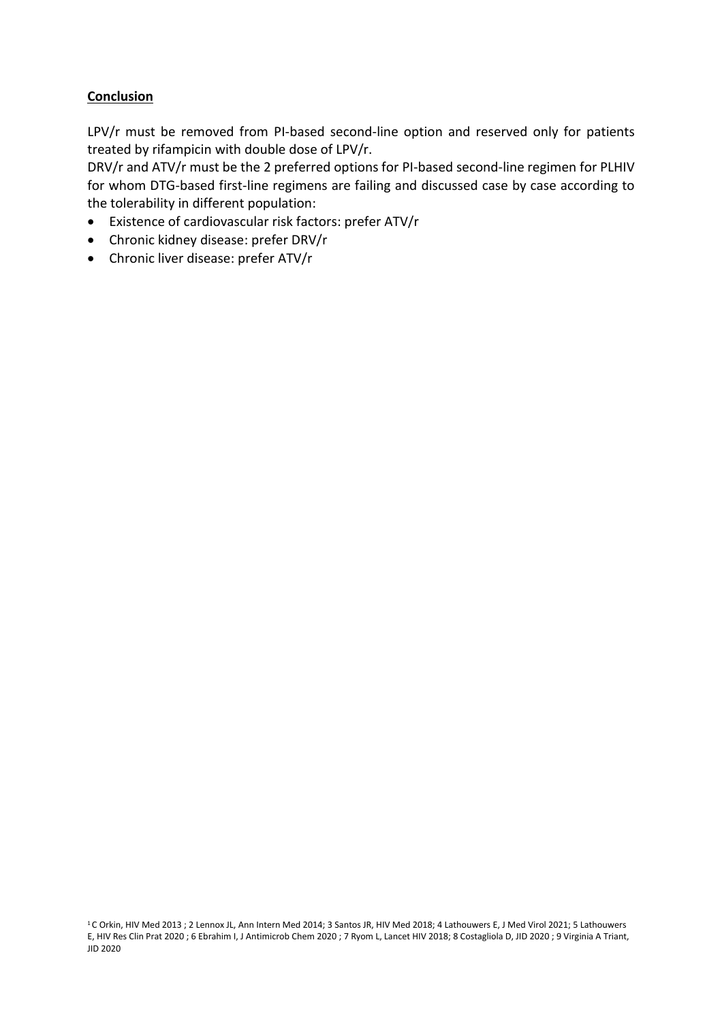#### **Conclusion**

LPV/r must be removed from PI-based second-line option and reserved only for patients treated by rifampicin with double dose of LPV/r.

DRV/r and ATV/r must be the 2 preferred options for PI-based second-line regimen for PLHIV for whom DTG-based first-line regimens are failing and discussed case by case according to the tolerability in different population:

- Existence of cardiovascular risk factors: prefer ATV/r
- Chronic kidney disease: prefer DRV/r
- Chronic liver disease: prefer ATV/r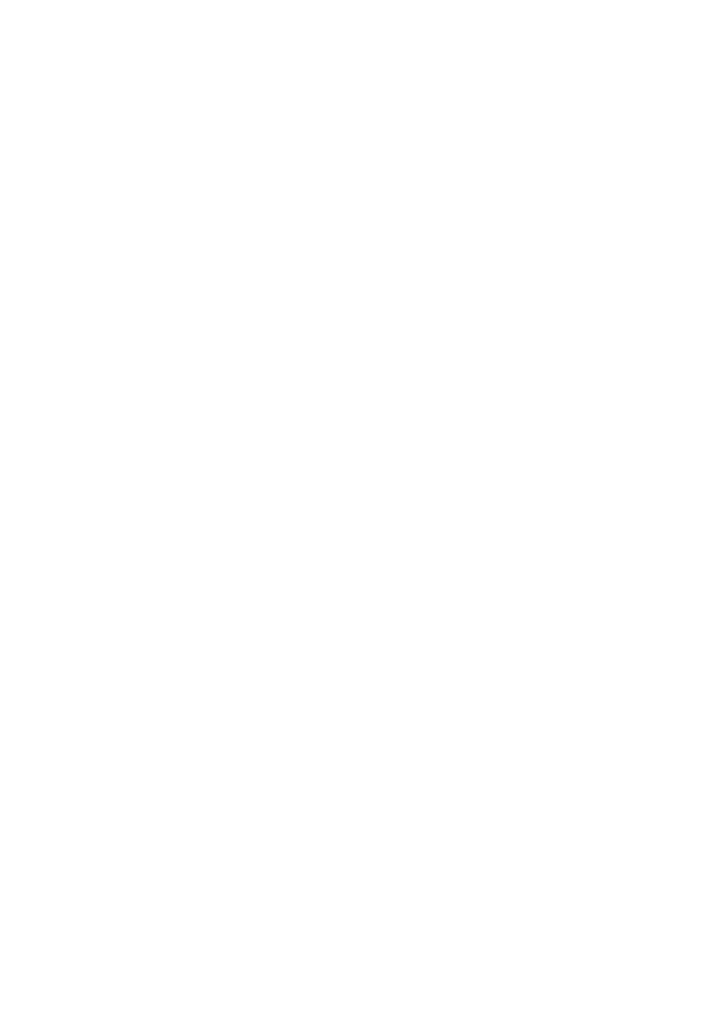- $\overline{\phantom{a}}$
- Rash, which is usually stiffiting within 2 weeks, however DKR should be x Potential sde effects include:
	- stopped if severe.
- Diarrhea, nausea
- Elevated liver and pancreatic enzymes j.
	- Headache
- Long term metabolic complications:adietes, hyperlipidemia
- Osteopenia and osteoporosis
- x SeeError! Reference source not foundpage49 of the English version
- x For information on the NRTI drugs see above sections omed ARV agents.

Table20 Standard 2nd line ART regimens

| Refer toNCHADS Technical Working Group on<br>Preferred 2 <sup>nd</sup> Line Regimens<br>TDF (or ABC) + 3TC + DTG<br>$TDF + 3TC + DRV/r$<br>$TDF + 3TC + ATV$<br>$AZT + 3TC + ATVI$<br>TDF (or ABC) + 3TC + (EFV or NVP  AZT + 3TC +DTG<br>$AZT + 3TCBRY/r$<br>$\stackrel{\sim}{\circ}$<br>8<br>O<br>$AZT + 3TC + EFV$ (or NVP)<br>TDF (or $ABC$ ) + 3TC + DTG<br>1 <sup>st</sup> Line Regimens Failure<br>$AZT + 3TC + DTC$<br>$2$ NRTI + any PIs* |
|----------------------------------------------------------------------------------------------------------------------------------------------------------------------------------------------------------------------------------------------------------------------------------------------------------------------------------------------------------------------------------------------------------------------------------------------------|
| Care and Treatment for discussion                                                                                                                                                                                                                                                                                                                                                                                                                  |

Note: if patient has HBsAg positive and the failure regimen contained TDF in 1st line it is recommended to keep it in the 2nd line regimen.

\*If patients on PI contained regimen, the 2lime ART regimen will be based on genotype testimaturedical history. DTG and/or DRVtased regimen could represent an option. 1C Orkin, HIV Med 2013 Lennox JL, Ann Intern Med 2014Sântos JR, HIV Med 2014Barthouwers E, J Med Virol 2021L5fthouwers<br>E, HIV Res Clin Prat 2026 Ebrahim I, J Antimicrob Chem 2020Ryom L, Lancet HIV 2018Σostagliola D, JID 2 **BOZ** OID